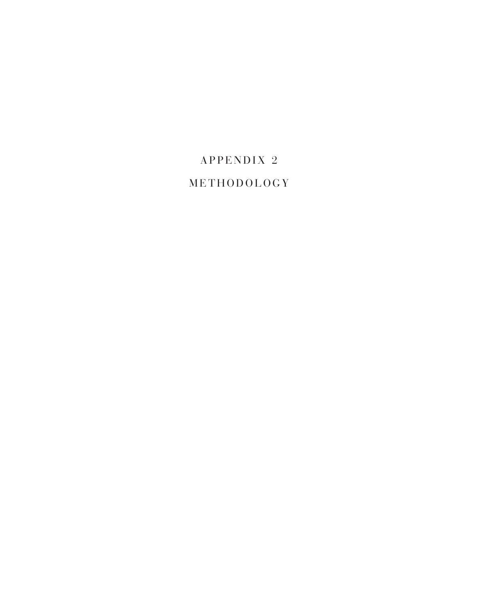## APPENDIX<sub>2</sub> METHODOLOGY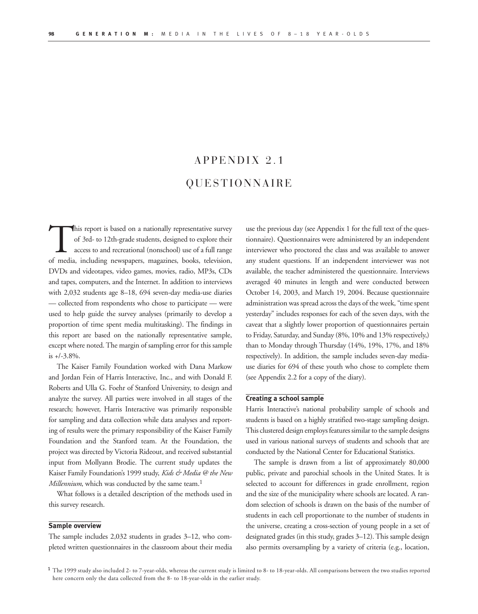## $APPENDIX 2.1$ Q U E S T I O N N A I R E

This report is based on a nationally representative survey<br>of 3rd- to 12th-grade students, designed to explore their<br>access to and recreational (nonschool) use of a full range<br>of media including newspapers, magazines, book of 3rd- to 12th-grade students, designed to explore their access to and recreational (nonschool) use of a full range of media, including newspapers, magazines, books, television, DVDs and videotapes, video games, movies, radio, MP3s, CDs and tapes, computers, and the Internet. In addition to interviews with 2,032 students age 8–18, 694 seven-day media-use diaries — collected from respondents who chose to participate — were used to help guide the survey analyses (primarily to develop a proportion of time spent media multitasking). The findings in this report are based on the nationally representative sample, except where noted. The margin of sampling error for this sample is +/-3.8%.

The Kaiser Family Foundation worked with Dana Markow and Jordan Fein of Harris Interactive, Inc., and with Donald F. Roberts and Ulla G. Foehr of Stanford University, to design and analyze the survey. All parties were involved in all stages of the research; however, Harris Interactive was primarily responsible for sampling and data collection while data analyses and reporting of results were the primary responsibility of the Kaiser Family Foundation and the Stanford team. At the Foundation, the project was directed by Victoria Rideout, and received substantial input from Mollyann Brodie. The current study updates the Kaiser Family Foundation's 1999 study, *Kids & Media @ the New Millennium*, which was conducted by the same team.<sup>1</sup>

What follows is a detailed description of the methods used in this survey research.

#### **Sample overview**

The sample includes 2,032 students in grades 3–12, who completed written questionnaires in the classroom about their media

use the previous day (see Appendix 1 for the full text of the questionnaire). Questionnaires were administered by an independent interviewer who proctored the class and was available to answer any student questions. If an independent interviewer was not available, the teacher administered the questionnaire. Interviews averaged 40 minutes in length and were conducted between October 14, 2003, and March 19, 2004. Because questionnaire administration was spread across the days of the week, "time spent yesterday" includes responses for each of the seven days, with the caveat that a slightly lower proportion of questionnaires pertain to Friday, Saturday, and Sunday (8%, 10% and 13% respectively,) than to Monday through Thursday (14%, 19%, 17%, and 18% respectively). In addition, the sample includes seven-day mediause diaries for 694 of these youth who chose to complete them (see Appendix 2.2 for a copy of the diary).

#### **Creating a school sample**

Harris Interactive's national probability sample of schools and students is based on a highly stratified two-stage sampling design. This clustered design employs features similar to the sample designs used in various national surveys of students and schools that are conducted by the National Center for Educational Statistics.

The sample is drawn from a list of approximately 80,000 public, private and parochial schools in the United States. It is selected to account for differences in grade enrollment, region and the size of the municipality where schools are located. A random selection of schools is drawn on the basis of the number of students in each cell proportionate to the number of students in the universe, creating a cross-section of young people in a set of designated grades (in this study, grades 3–12). This sample design also permits oversampling by a variety of criteria (e.g., location,

<sup>1</sup> The 1999 study also included 2- to 7-year-olds, whereas the current study is limited to 8- to 18-year-olds. All comparisons between the two studies reported here concern only the data collected from the 8- to 18-year-olds in the earlier study.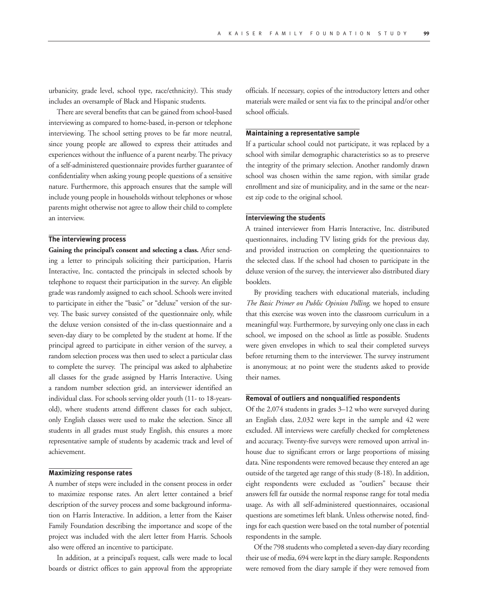urbanicity, grade level, school type, race/ethnicity). This study includes an oversample of Black and Hispanic students.

There are several benefits that can be gained from school-based interviewing as compared to home-based, in-person or telephone interviewing. The school setting proves to be far more neutral, since young people are allowed to express their attitudes and experiences without the influence of a parent nearby. The privacy of a self-administered questionnaire provides further guarantee of confidentiality when asking young people questions of a sensitive nature. Furthermore, this approach ensures that the sample will include young people in households without telephones or whose parents might otherwise not agree to allow their child to complete an interview.

#### **The interviewing process**

**Gaining the principal's consent and selecting a class.** After sending a letter to principals soliciting their participation, Harris Interactive, Inc. contacted the principals in selected schools by telephone to request their participation in the survey. An eligible grade was randomly assigned to each school. Schools were invited to participate in either the "basic" or "deluxe" version of the survey. The basic survey consisted of the questionnaire only, while the deluxe version consisted of the in-class questionnaire and a seven-day diary to be completed by the student at home. If the principal agreed to participate in either version of the survey, a random selection process was then used to select a particular class to complete the survey. The principal was asked to alphabetize all classes for the grade assigned by Harris Interactive. Using a random number selection grid, an interviewer identified an individual class. For schools serving older youth (11- to 18-yearsold), where students attend different classes for each subject, only English classes were used to make the selection. Since all students in all grades must study English, this ensures a more representative sample of students by academic track and level of achievement.

#### **Maximizing response rates**

A number of steps were included in the consent process in order to maximize response rates. An alert letter contained a brief description of the survey process and some background information on Harris Interactive. In addition, a letter from the Kaiser Family Foundation describing the importance and scope of the project was included with the alert letter from Harris. Schools also were offered an incentive to participate.

In addition, at a principal's request, calls were made to local boards or district offices to gain approval from the appropriate

officials. If necessary, copies of the introductory letters and other materials were mailed or sent via fax to the principal and/or other school officials.

#### **Maintaining a representative sample**

If a particular school could not participate, it was replaced by a school with similar demographic characteristics so as to preserve the integrity of the primary selection. Another randomly drawn school was chosen within the same region, with similar grade enrollment and size of municipality, and in the same or the nearest zip code to the original school.

#### **Interviewing the students**

A trained interviewer from Harris Interactive, Inc. distributed questionnaires, including TV listing grids for the previous day, and provided instruction on completing the questionnaires to the selected class. If the school had chosen to participate in the deluxe version of the survey, the interviewer also distributed diary booklets.

By providing teachers with educational materials, including *The Basic Primer on Public Opinion Polling*, we hoped to ensure that this exercise was woven into the classroom curriculum in a meaningful way. Furthermore, by surveying only one class in each school, we imposed on the school as little as possible. Students were given envelopes in which to seal their completed surveys before returning them to the interviewer. The survey instrument is anonymous; at no point were the students asked to provide their names.

#### **Removal of outliers and nonqualified respondents**

Of the 2,074 students in grades 3–12 who were surveyed during an English class, 2,032 were kept in the sample and 42 were excluded. All interviews were carefully checked for completeness and accuracy. Twenty-five surveys were removed upon arrival inhouse due to significant errors or large proportions of missing data. Nine respondents were removed because they entered an age outside of the targeted age range of this study (8-18). In addition, eight respondents were excluded as "outliers" because their answers fell far outside the normal response range for total media usage. As with all self-administered questionnaires, occasional questions are sometimes left blank. Unless otherwise noted, findings for each question were based on the total number of potential respondents in the sample.

Of the 798 students who completed a seven-day diary recording their use of media, 694 were kept in the diary sample. Respondents were removed from the diary sample if they were removed from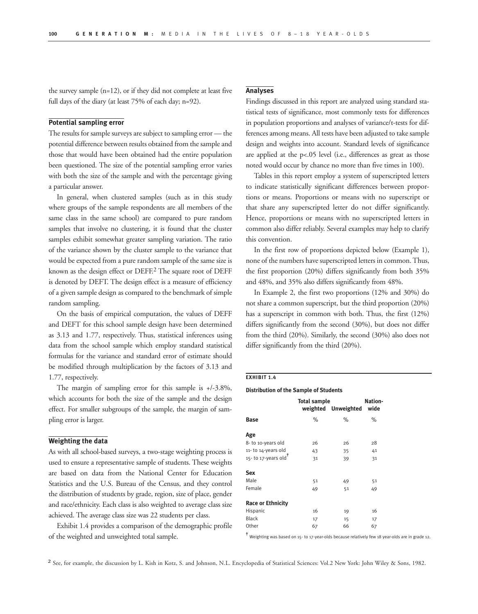the survey sample (n=12), or if they did not complete at least five full days of the diary (at least 75% of each day; n=92).

#### **Potential sampling error**

The results for sample surveys are subject to sampling error — the potential difference between results obtained from the sample and those that would have been obtained had the entire population been questioned. The size of the potential sampling error varies with both the size of the sample and with the percentage giving a particular answer.

In general, when clustered samples (such as in this study where groups of the sample respondents are all members of the same class in the same school) are compared to pure random samples that involve no clustering, it is found that the cluster samples exhibit somewhat greater sampling variation. The ratio of the variance shown by the cluster sample to the variance that would be expected from a pure random sample of the same size is known as the design effect or DEFF.2 The square root of DEFF is denoted by DEFT. The design effect is a measure of efficiency of a given sample design as compared to the benchmark of simple random sampling.

On the basis of empirical computation, the values of DEFF and DEFT for this school sample design have been determined as 3.13 and 1.77, respectively. Thus, statistical inferences using data from the school sample which employ standard statistical formulas for the variance and standard error of estimate should be modified through multiplication by the factors of 3.13 and 1.77, respectively.

The margin of sampling error for this sample is +/-3.8%, which accounts for both the size of the sample and the design effect. For smaller subgroups of the sample, the margin of sampling error is larger.

#### **Weighting the data**

As with all school-based surveys, a two-stage weighting process is used to ensure a representative sample of students. These weights are based on data from the National Center for Education Statistics and the U.S. Bureau of the Census, and they control the distribution of students by grade, region, size of place, gender and race/ethnicity. Each class is also weighted to average class size achieved. The average class size was 22 students per class.

Exhibit 1.4 provides a comparison of the demographic profile of the weighted and unweighted total sample.

#### **Analyses**

Findings discussed in this report are analyzed using standard statistical tests of significance, most commonly tests for differences in population proportions and analyses of variance/t-tests for differences among means. All tests have been adjusted to take sample design and weights into account. Standard levels of significance are applied at the p<.05 level (i.e., differences as great as those noted would occur by chance no more than five times in 100).

Tables in this report employ a system of superscripted letters to indicate statistically significant differences between proportions or means. Proportions or means with no superscript or that share any superscripted letter do not differ significantly. Hence, proportions or means with no superscripted letters in common also differ reliably. Several examples may help to clarify this convention.

In the first row of proportions depicted below (Example 1), none of the numbers have superscripted letters in common. Thus, the first proportion (20%) differs significantly from both 35% and 48%, and 35% also differs significantly from 48%.

In Example 2, the first two proportions (12% and 30%) do not share a common superscript, but the third proportion (20%) has a superscript in common with both. Thus, the first (12%) differs significantly from the second (30%), but does not differ from the third (20%). Similarly, the second (30%) also does not differ significantly from the third (20%).

#### **EXHIBIT 1.4**

#### **Distribution of the Sample of Students**

|                                  | <b>Total sample</b> |                          | Nation- |
|----------------------------------|---------------------|--------------------------|---------|
|                                  |                     | weighted Unweighted wide |         |
| <b>Base</b>                      | $\%$                | $\%$                     | $\%$    |
| Age                              |                     |                          |         |
| 8- to 10-years old               | 26                  | 26                       | 28      |
| 11- to 14-years old              | 43                  | 35                       | 41      |
| 15- to 17-years old <sup>T</sup> | 31                  | 39                       | 31      |
| Sex                              |                     |                          |         |
| Male                             | 51                  | 49                       | 51      |
| Female                           | 49                  | 51                       | 49      |
| <b>Race or Ethnicity</b>         |                     |                          |         |
| Hispanic                         | 16                  | 19                       | 16      |
| <b>Black</b>                     | 17                  | 15                       | 17      |
| Other                            | 67                  | 66                       | 67      |
|                                  |                     |                          |         |

✝ Weighting was based on 15- to 17-year-olds because relatively few 18 year-olds are in grade 12.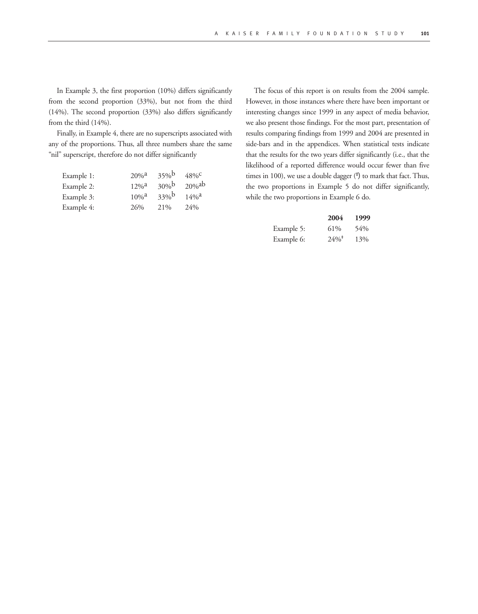In Example 3, the first proportion (10%) differs significantly from the second proportion (33%), but not from the third (14%). The second proportion (33%) also differs significantly from the third (14%).

Finally, in Example 4, there are no superscripts associated with any of the proportions. Thus, all three numbers share the same "nil" superscript, therefore do not differ significantly

| Example 1: | $20%$ <sup>2</sup>  | 35%       | $48\%$ <sup>C</sup> |
|------------|---------------------|-----------|---------------------|
| Example 2: | $12\%^{\rm a}$      | $30%^{b}$ | $20%$ <sup>ab</sup> |
| Example 3: | $10\%$ <sup>a</sup> | 33%b      | $14\%$ <sup>a</sup> |
| Example 4: | 26%                 | 21%       | 24%                 |

The focus of this report is on results from the 2004 sample. However, in those instances where there have been important or interesting changes since 1999 in any aspect of media behavior, we also present those findings. For the most part, presentation of results comparing findings from 1999 and 2004 are presented in side-bars and in the appendices. When statistical tests indicate that the results for the two years differ significantly (i.e., that the likelihood of a reported difference would occur fewer than five times in 100), we use a double dagger ( $\ddagger$ ) to mark that fact. Thus, the two proportions in Example 5 do not differ significantly, while the two proportions in Example 6 do.

|            | 2004                | 1999 |
|------------|---------------------|------|
| Example 5: | 61%                 | 54%  |
| Example 6: | $24\%$ <sup>+</sup> | 13%  |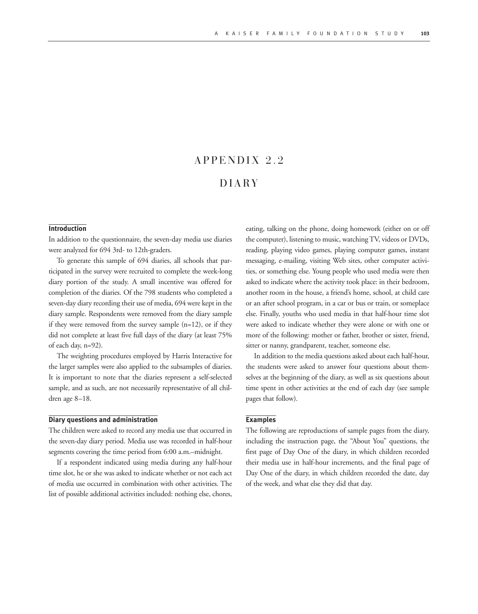### $APPENDIX 2.2$

#### D I A RY

#### **Introduction**

In addition to the questionnaire, the seven-day media use diaries were analyzed for 694 3rd- to 12th-graders.

To generate this sample of 694 diaries, all schools that participated in the survey were recruited to complete the week-long diary portion of the study. A small incentive was offered for completion of the diaries. Of the 798 students who completed a seven-day diary recording their use of media, 694 were kept in the diary sample. Respondents were removed from the diary sample if they were removed from the survey sample (n=12), or if they did not complete at least five full days of the diary (at least 75% of each day, n=92).

The weighting procedures employed by Harris Interactive for the larger samples were also applied to the subsamples of diaries. It is important to note that the diaries represent a self-selected sample, and as such, are not necessarily representative of all children age 8–18.

#### **Diary questions and administration**

The children were asked to record any media use that occurred in the seven-day diary period. Media use was recorded in half-hour segments covering the time period from 6:00 a.m.–midnight.

If a respondent indicated using media during any half-hour time slot, he or she was asked to indicate whether or not each act of media use occurred in combination with other activities. The list of possible additional activities included: nothing else, chores, eating, talking on the phone, doing homework (either on or off the computer), listening to music, watching TV, videos or DVDs, reading, playing video games, playing computer games, instant messaging, e-mailing, visiting Web sites, other computer activities, or something else. Young people who used media were then asked to indicate where the activity took place: in their bedroom, another room in the house, a friend's home, school, at child care or an after school program, in a car or bus or train, or someplace else. Finally, youths who used media in that half-hour time slot were asked to indicate whether they were alone or with one or more of the following: mother or father, brother or sister, friend, sitter or nanny, grandparent, teacher, someone else.

In addition to the media questions asked about each half-hour, the students were asked to answer four questions about themselves at the beginning of the diary, as well as six questions about time spent in other activities at the end of each day (see sample pages that follow).

#### **Examples**

The following are reproductions of sample pages from the diary, including the instruction page, the "About You" questions, the first page of Day One of the diary, in which children recorded their media use in half-hour increments, and the final page of Day One of the diary, in which children recorded the date, day of the week, and what else they did that day.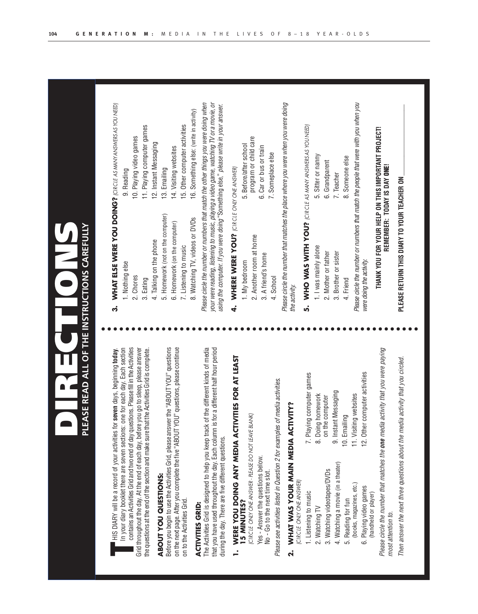| I HIS DIARY will be a record of your activities for seven days, beginning today.                                                                                                                                                                                   | ကႆ                                                            | WHAT ELSE WERE YOU DOING? (CIRCLE AS MANY ANSIWERS AS YOU NEED)                                                                                                                                                                                                        |
|--------------------------------------------------------------------------------------------------------------------------------------------------------------------------------------------------------------------------------------------------------------------|---------------------------------------------------------------|------------------------------------------------------------------------------------------------------------------------------------------------------------------------------------------------------------------------------------------------------------------------|
| In your diary booklet there are seven sections: one for each day. Each section                                                                                                                                                                                     | 1. Nothing else                                               | 9. Reading                                                                                                                                                                                                                                                             |
| contains an Activities Grid and two end of day questions. Please fill in the Activities<br>Grid throughout the day. At the end of each day, before you go to sleep, please answer                                                                                  | 2. Chores                                                     | 10. Playing video games                                                                                                                                                                                                                                                |
| the questions at the end of the section and make sure that the Activities Grid is complete.                                                                                                                                                                        | 3. Eating                                                     | 11. Playing computer games                                                                                                                                                                                                                                             |
|                                                                                                                                                                                                                                                                    | 4. Talking on the phone                                       | 12. Instant Messaging                                                                                                                                                                                                                                                  |
| Before you begin to use the Activities Grid, please answer the "ABOUT YOU" questions<br>ABOUT YOU QUESTIONS:                                                                                                                                                       | 5. Homework (not on the computer)                             | 13. Emailing                                                                                                                                                                                                                                                           |
| on the next page. After you complete the five "ABOUT YOU" questions, please continue                                                                                                                                                                               | 6. Homework (on the computer)<br>7. Listening to music        | 15. Other computer activities<br>14. Visiting websites                                                                                                                                                                                                                 |
| on to the Activities Grid.                                                                                                                                                                                                                                         | 8. Watching TV, videos or DVDs                                | 16. Something else: (write in activity)                                                                                                                                                                                                                                |
| The Activities Grid is designed to help you keep track of the different kinds of media<br>that you have used throughout the day. Each column is for a different half hour period<br>during the day. There are five different questions.<br><b>ACTIVITIES GRID:</b> |                                                               | Please circle the number or numbers that match the other things you were doing when<br>your were reading, listening to music, playing a video game, watching TV or a movie, or<br>using the computer. If you were doing "Something else," please write in your answer. |
| WERE YOU DOING ANY MEDIA ACTIVITIES FOR AT LEAST                                                                                                                                                                                                                   | WHERE WERE YOU? (CIRCLE ONLY ONE ANSWER)<br>4.                |                                                                                                                                                                                                                                                                        |
| ICIRCLE ONLY ONE ANSWER - PLEASE DO NOT LEAVE BLANK)<br><b>15 MINUTES?</b>                                                                                                                                                                                         | 1. My bedroom                                                 | 5. Before/after school                                                                                                                                                                                                                                                 |
| Yes - Answer the questions below.                                                                                                                                                                                                                                  | 2. Another room at home                                       | program or child care<br>6. Car or bus or train                                                                                                                                                                                                                        |
| No - Go to the next time slot.                                                                                                                                                                                                                                     | 3. A friend's home                                            | 7. Someplace else                                                                                                                                                                                                                                                      |
| Please see activities listed in Question 2 for examples of media activities.                                                                                                                                                                                       | 4. School                                                     |                                                                                                                                                                                                                                                                        |
| WHAT WAS YOUR MAIN MEDIA ACTIVITY?<br>(CIRCLE ONLY ONE ANSWER)<br>$\dot{\mathbf{r}}$                                                                                                                                                                               | the activity.                                                 | Please circle the number that matches the place where you were when you were doing                                                                                                                                                                                     |
| computer games<br>7. Playing<br>1. Listening to music                                                                                                                                                                                                              | WHO WAS WITH YOU? (CIRCLE AS MANY ANSIVERS AS YOU NEED)<br>ທ່ |                                                                                                                                                                                                                                                                        |
| 8. Doing homework<br>2. Watching TV                                                                                                                                                                                                                                | 1. I was mainly alone                                         | 5. Sitter or nanny                                                                                                                                                                                                                                                     |
| on the computer<br>3. Watching videotapes/DVDs                                                                                                                                                                                                                     | 2. Mother or father                                           | 6. Grandparent                                                                                                                                                                                                                                                         |
| 9. Instant Messaging<br>4. Watching a movie (in a theater)                                                                                                                                                                                                         | 3. Brother or sister                                          | 7. Teacher                                                                                                                                                                                                                                                             |
| 10. Emailing<br>5. Reading for fun                                                                                                                                                                                                                                 | 4. Friend                                                     | 8. Someone else                                                                                                                                                                                                                                                        |
| 12. Other computer activities<br>11. Visiting websites<br>(books, magazines, etc.)<br>6. Playing video games<br>(handheld or player)                                                                                                                               | were doing the activity.                                      | Please circle the number or numbers that match the people that were with you when you                                                                                                                                                                                  |
| Please circle the number that matches the <b>one</b> media activity that you were paying<br>most attention to.                                                                                                                                                     |                                                               | THANK YOU FOR YOUR HELP ON THIS IMPORTANT PROJECT!<br>REMEMBER: TODAY IS DAY ONE!                                                                                                                                                                                      |
| activity that you circled.<br>Then answer the next three questions about the media                                                                                                                                                                                 | PLEASE RETURN THIS DIARY TO YOUR TEACHER ON                   |                                                                                                                                                                                                                                                                        |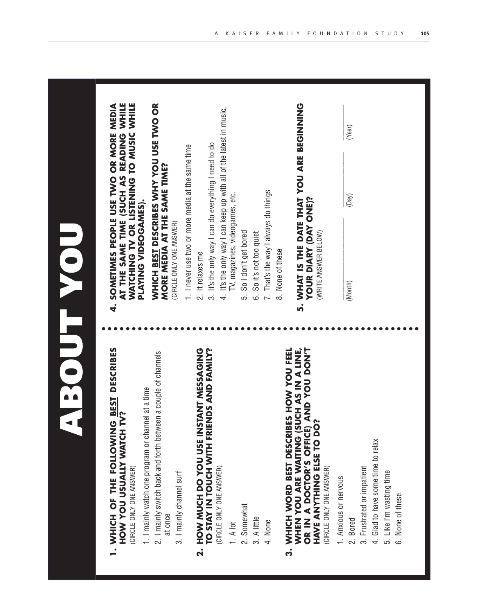| <b>BEST DESCRIBES</b>           |                              |                                         |
|---------------------------------|------------------------------|-----------------------------------------|
|                                 | È                            |                                         |
| <b>ONINOTIOL HILL LO INTING</b> | YOU USUALLY WATCH<br>V<br>NO | WER<br>/ ONE ANSV<br><b>CIRCLE ONLY</b> |

4.

- 2. I mainly switch back and forth between a couple of channels 2. I mainly switch back and forth between a couple of channels 1. I mainly watch one program or channel at a time 1. I mainly watch one program or channel at a time
	- at once
		- 3. I mainly channel surf 3. I mainly channel surf

# **FAMIN TOUCH WITH FRIENDS AND FAMILY? G 2. HOW MUCH DO YOU USE INSTANT MESSAGIN TO STAY IN TOUCH WITH FRIENDS AND**  CIRCLE ONLY ONE ANSWER) (CIRCLE ONLY ONE ANSWER)  $\dot{\mathbf{a}}$

1. A lot

- 2. Somewhat 2. Somewhat
- 3. A little

4. None

## WHEN YOU ARE WAITING (SUCH AS IN A LINE,<br>OR IN A DOCTOR'S OFFICE) AND YOU DON'T WHICH WORD BEST DESCRIBES HOW YOU FEEL **WAITING CONSTRUME OR IN A DOCTOR'S OFFICE) AND YOU DON'T 3. WHICH WORD BEST DESCRIBES HOW YOU FEE ? HAVE ANYTHING ELSE TO DO** (CIRCLE ONLY ONE ANSWER) (CIRCLE ONLY ONE ANSWER) **WHEN YOU ARE**  က

1. Anxious or nervous 1. Anxious or nervous

- 2. Bored
- 3. Frustrated or impatient 3. Frustrated or impatient
- 4. Glad to have some time to relax 4. Glad to have some time to relax
	- 5. Like I'm wasting time 5. Like I'm wasting time None of these 6. None of these .<br>ف

AT THE SAME TIME (SUCH AS READING WHILE **WATCHING TV OR LISTENING TO MUSIC WHILE SOMETIMES PEOPLE USE TWO OR MORE MEDIA AT THE SAME TIME (SUCH AS READING WHILE WATCHING TV OR LISTENING TO MUSIC WHIL 4. SOMETIMES PEOPLE USE TWO OR MORE MEDI** PLAYING VIDEOGAMES). **PLAYING VIDEOGAMES).**

# WHICH BEST DESCRIBES WHY YOU USE TWO OR **WHICH BEST DESCRIBES WHY YOU USE TWO OR** MORE MEDIA AT THE SAME TIME? **MORE MEDIA AT THE SAME TIME?**

(CIRCLE ONLY ONE ANSWER) (CIRCLE ONLY ONE ANSWER)

- 1. I never use two or more media at the same time 1. I never use two or more media at the same time
- 2. It relaxes me 2. It relaxes me
- 3. It's the only way I can do everything I need to do 3. It's the only way I can do everything I need to do
- 4. It's the only way I can keep up with all of the latest in music, 4. It's the only way I can keep up with all of the latest in music, TV, magazines, videogames, etc. TV, magazines, videogames, etc.
	- So I don't get bored 5. So I don't get bored i<br>G
		- 6. So it's not too quiet 6. So it's not too quiet
- 7. That's the way I always do things 7. That's the way I always do things
	- 8. None of these 8. None of these
- 5. WHAT IS THE DATE THAT YOU ARE BEGINNING **5. WHAT IS THE DATE THAT YOU ARE BEGINNING**

# **YOUR DIARY (DAY ONE)? YOUR DIARY (DAY ONE)?** (WRITE ANSWER BELOW) (WRITE ANSWER BELOW)

(Month)

\_\_\_\_\_\_\_\_\_\_\_\_\_\_\_\_\_\_\_\_\_ \_\_\_\_\_\_\_\_\_\_\_\_\_\_ \_\_\_\_\_\_\_\_\_

(Month) (Day) (Year) $(Day)$ 

(Year)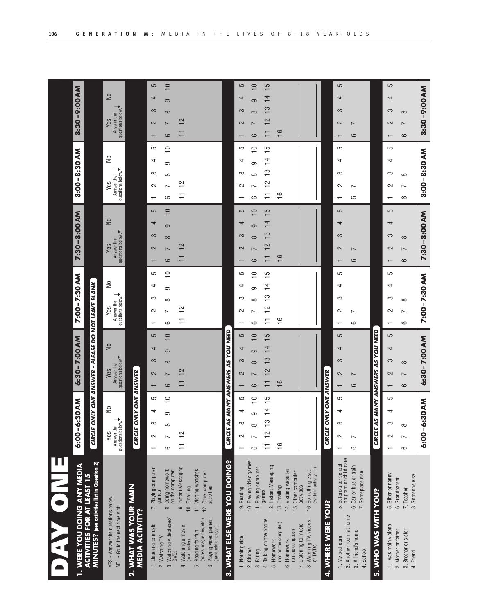| <b>1. WERE YOU DOING ANY MEDIA</b>                                                                                                                                   |                                                                                                   | 6:00-6:30 AM                                                                  | 6:30-7:00 AM                                                     | 7:00-7:30 AM                                                                    | 7:30-8:00 AM                                                                                        | 8:00-8:30 AM                                                               | 8:30-9:00 AM                                                                     |
|----------------------------------------------------------------------------------------------------------------------------------------------------------------------|---------------------------------------------------------------------------------------------------|-------------------------------------------------------------------------------|------------------------------------------------------------------|---------------------------------------------------------------------------------|-----------------------------------------------------------------------------------------------------|----------------------------------------------------------------------------|----------------------------------------------------------------------------------|
| MINUTES? (see activities list in Question 2)<br><b>ACTIVITIES FOR AT LEAST 15</b>                                                                                    |                                                                                                   | <b>CIRCLE ON</b>                                                              | ILY ONE ANSWER - PLEASE DO NOT LEAVE BLANK                       |                                                                                 |                                                                                                     |                                                                            |                                                                                  |
| YES - Answer the questions below.<br>- Go to the next time slot.<br>$\overline{a}$                                                                                   |                                                                                                   | $\frac{1}{2}$<br>Answer the ↓<br>questions below. ◆<br>Yes                    | $\overline{\mathsf{N}}$<br>questions below.<br>Answer the<br>Yes | $\geq$<br>Answer the<br>questions below.<br>Yes                                 | $\overline{\mathsf{N}}$<br>questions below.<br>Answer the<br>Yes                                    | $\geq$<br>Answer the<br>questions below.<br>Yes                            | $\overline{\mathsf{N}}$<br>questions below.<br>Answer the<br>Yes                 |
| WHAT WAS YOUR MAIN<br><b>MEDIA ACTIVITY?</b><br>$\overline{\mathbf{a}}$                                                                                              |                                                                                                   | CIRCLE ONLY ONE                                                               | ANSWER                                                           |                                                                                 |                                                                                                     |                                                                            |                                                                                  |
| 3. Watching videotapes/<br>1. Listening to music<br>2. Watching TV                                                                                                   | 7. Playing computer<br>8. Doing homework<br>on the computer<br>games                              | $\circ$<br>5<br>4<br>တ<br>S<br>$\infty$<br>$\sim$<br>ဖ<br>$\mathbf$ $\mathbf$ | $\circ$<br>5<br>4<br>ၜ<br>S<br>$\infty$<br>$\sim$<br>ဖ           | 5<br>$\overline{1}$<br>4<br>တ<br>က<br>$\infty$<br>$\sim$<br>ဖ<br>$\mathbf \tau$ | S<br>$\overline{\phantom{0}}$<br>4<br>ၜ<br>က<br>$\infty$<br>$\sim$<br>ဖ<br>$\overline{\phantom{0}}$ | $\overline{1}$<br>5<br>4<br>တ<br>က<br>$\infty$<br>$\sim$<br>ဖ<br>$\mathbf$ | 5<br>$\overline{10}$<br>4<br>ၜ<br>က<br>$\infty$<br>$\sim$<br>ယ<br>$\mathbf \tau$ |
| (books, magazines, etc.)<br>Playing video games<br>Watching a movie<br>(handheld or player)<br>Reading for fun<br>(in a theater)<br><b>DVDs</b><br>4.<br>.<br>G<br>6 | 9. Instant Messaging<br>11. Visiting websites<br>12. Other computer<br>10. Emailing<br>activities | $\frac{2}{3}$<br>Ξ                                                            | 2                                                                | S<br>∓                                                                          | 12<br>┯                                                                                             | S<br>$\overline{ }$<br>Ξ                                                   | 12                                                                               |
| 3. WHAT ELSE WERE YOU DOING?                                                                                                                                         |                                                                                                   | <b>MANY ANSWERS</b><br><b>CIRCLE AS</b>                                       | AS YOU NEED                                                      |                                                                                 |                                                                                                     |                                                                            |                                                                                  |
| 1. Nothing else                                                                                                                                                      | 9. Reading                                                                                        | 5<br>₹<br>S<br>Z                                                              | $\sqrt{2}$<br>↴<br>$\infty$<br>$\sim$                            | 5<br>↴<br>က<br>Z                                                                | 5<br>ᅿ<br>$\infty$<br>$\sim$                                                                        | 5<br>ᅿ<br>$\infty$<br>$\sim$                                               | 5<br>$\infty$<br>$\sim$                                                          |
| 2. Chores<br>3. Eating                                                                                                                                               | 10. Playing video games<br>11. Playing computer                                                   | $\circ$<br>တ<br>ဖ                                                             | $\circ$<br>ၜ<br>$\infty$<br>$\circ$                              | $\circ$<br>တ<br>$\infty$<br>ဖ                                                   | $\circ$<br>ၜ<br>$\infty$<br>$\circ$                                                                 | $\circ$<br>ഗ<br>$\infty$<br>$\circ$                                        | $\circ$<br>σ.<br>$\infty$<br>ဖ                                                   |
| 4. Talking on the phone<br>5. Homework                                                                                                                               | 12. Instant Messaging<br>games                                                                    | 5<br>4<br>$\frac{3}{5}$<br>S<br>Ξ                                             | 5<br>4<br>$\frac{3}{5}$<br>2                                     | 5<br>$\overline{ }$<br>4<br>S<br>2                                              | 5<br>$\overline{\phantom{0}}$<br>4<br>S<br>2                                                        | 5<br>$\overline{ }$<br>4<br>S<br>$\overline{\phantom{0}}$<br>S<br>∓        | 5<br>$\overline{\phantom{0}}$<br>4<br>S<br>2                                     |
| (not on the computer)<br>6. Homework                                                                                                                                 | 14. Visiting websites<br>13. Emailing                                                             | $\frac{6}{1}$                                                                 | ဖ                                                                | ဖ                                                                               | $\frac{6}{5}$                                                                                       | $\frac{6}{1}$                                                              | $\frac{6}{1}$                                                                    |
| 8. Watching TV, videos<br>7. Listening to music<br>(on the computer)<br>or DVDs                                                                                      | (write in activity $\rightarrow$ )<br>16. Something else:<br>15. Other computer<br>activities     |                                                                               |                                                                  |                                                                                 |                                                                                                     |                                                                            |                                                                                  |
| <b>YOU?</b><br>4. WHERE WERE                                                                                                                                         |                                                                                                   | <b>LY ONE ANSWER</b><br><b>CIRCLE ON</b>                                      |                                                                  |                                                                                 |                                                                                                     |                                                                            |                                                                                  |
| 2. Another room at home<br>1. My bedroom                                                                                                                             | program or child care<br>5. Before/after school                                                   | 5<br>4<br>S<br>$\sim$                                                         | 5<br>4<br>S<br>$\sim$                                            | 5<br>4<br>က<br>$\sim$                                                           | 5<br>4<br>S<br>2<br>$\mathbf \tau$                                                                  | 5<br>4<br>က<br>$\sim$                                                      | 5<br>4<br>S<br>$\sim$                                                            |
| 3. A friend's home<br>School<br>$\overline{4}$                                                                                                                       | 6. Car or bus or train<br>7. Someplace else                                                       | $\overline{\phantom{0}}$<br>ဖ                                                 | $\overline{ }$<br>ဖ                                              | $\overline{\phantom{0}}$<br>ဖ                                                   | $\overline{ }$<br>ဖ                                                                                 | $\overline{\phantom{0}}$<br>ဖ                                              | $\overline{ }$<br>ဖ                                                              |
| 5. WHO WAS WITH YOU?                                                                                                                                                 |                                                                                                   | CIRCLE AS                                                                     | MANY ANSWERS AS YOU NEED                                         |                                                                                 |                                                                                                     |                                                                            |                                                                                  |
| 1. I was mainly alone                                                                                                                                                | 5. Sitter or nanny                                                                                | 5<br>4<br>S<br>$\sim$<br>$\mathbf -$                                          | 5<br>4<br>က<br>2                                                 | 5<br>↴<br>က<br>Z<br>$\mathbf -$                                                 | 5<br>₹<br>က<br>2<br>$\overline{\phantom{0}}$                                                        | 5<br>4<br>က<br>$\sim$<br>$\mathbf -$                                       | 5<br>4<br>က<br>2                                                                 |
| 2. Mother or father<br>3. Brother or sister<br>4. Friend                                                                                                             | 8. Someone else<br>6. Grandparent<br>7. Teacher                                                   | $\infty$<br>$\sim$<br>ပ                                                       | $\infty$<br>$\overline{ }$<br>ဖ                                  | $\infty$<br>Ľ<br>ဖ                                                              | $\infty$<br>$\overline{ }$<br>ဖ                                                                     | $\infty$<br>Z<br>6                                                         | $\infty$<br>$\overline{ }$<br>ဖ                                                  |
|                                                                                                                                                                      |                                                                                                   | <b>MNO</b><br>$6:00 - 6:3$                                                    | 6:30-7:00 AM                                                     | 7:00-7:30 AM                                                                    | 7:30-8:00 AM                                                                                        | 8:00-8:30 AM                                                               | 8:30-9:00 AM                                                                     |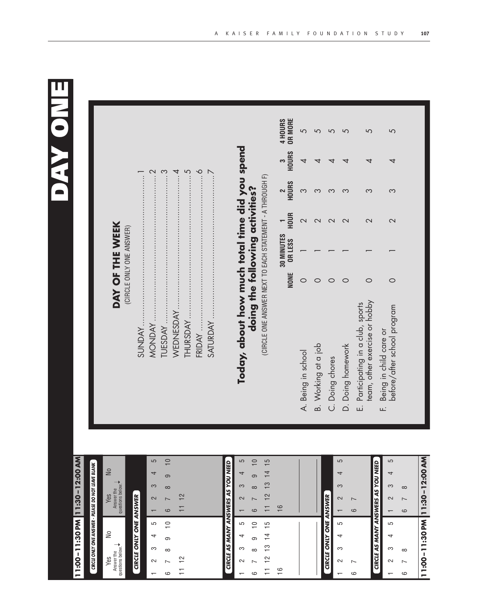

# **11:00–11:30 P M 11:30–12:00 A M**

# **CIRCLE ONLY ONE ANSWER - PLEASE DO NOT LEAVE BLANK ONLY ONE ANSWER - PLEASE DO NOT LEAVE BLANK**

| S   |                      |
|-----|----------------------|
| Yes | nswer the<br>stions! |
| ి   |                      |
|     | uestions below. ◆    |

# **CIRCLE ONLY ONE ANSWER CIRCLE ONLY ONE ANSWER**

| 5                        | ≘               |                |  |
|--------------------------|-----------------|----------------|--|
| 4                        | ၜ               |                |  |
| S                        | $\infty$        |                |  |
| 2                        | $\overline{ }$  | $\tilde{=}$    |  |
| $\overline{\phantom{0}}$ | ဖ               | $\overline{1}$ |  |
|                          |                 |                |  |
| 5                        | $\widetilde{=}$ |                |  |
| 4                        | σ               |                |  |
| က                        | $\infty$        |                |  |
| 2                        | $\overline{ }$  | $\frac{2}{1}$  |  |

|                       | 5                        | $\overline{10}$ |                |
|-----------------------|--------------------------|-----------------|----------------|
|                       | $\overline{\phantom{a}}$ | <sub>ဝ</sub>    |                |
|                       | S                        | $\infty$        |                |
|                       | $\sim$                   | $\overline{1}$  |                |
| ANSWERS AS YOU NEED   | É                        | o               | 11 12 13 14 15 |
|                       |                          |                 |                |
|                       | c                        | $\overline{C}$  |                |
|                       | $\overline{a}$           | တ               |                |
|                       | S                        | $\infty$        |                |
| <b>CIRCLE AS MANY</b> | $\sim$                   | $\overline{1}$  | 11 12 13 14 15 |

16<br>16

 $\frac{6}{1}$ 

16

|                        | ഥ |   |
|------------------------|---|---|
|                        | ↴ |   |
|                        | က |   |
|                        | 2 | ∼ |
| CIRCLE ONLY ONE ANSWER |   | c |
|                        | 5 |   |
|                        | 4 |   |
|                        | က |   |
|                        | N |   |
|                        |   | c |
|                        |   |   |

 $\overline{c}$ 

|                          |                                           | ഥ  |                          |
|--------------------------|-------------------------------------------|----|--------------------------|
|                          |                                           | ↴  |                          |
|                          |                                           | က  | ∞                        |
| $\overline{\phantom{0}}$ |                                           | 2  | $\overline{\phantom{0}}$ |
| ဖ                        |                                           |    | ဖ                        |
|                          |                                           |    |                          |
|                          |                                           | صا |                          |
|                          |                                           | 4  |                          |
|                          |                                           | က  | ∞                        |
| ∼                        |                                           | 2  | ∼                        |
| ဖ                        | <b>CIRCLE AS MANY ANSWERS AS YOU NEED</b> |    | ဖ                        |

**11:00–11:30 P**

**M**

**11:30–12:00 A**

**M**

## DAY OF THE WEEK **DAY OF THE WEEK** (CIRCLE ONLY ONE ANSWER) (CIRCLE ONLY ONE ANSWER)

# **Today, about how much total time did you spen doing the following activities?**

**d**

(CIRCLE ONE ANSWER NEXT TO EACH STATEMENT - A THROUGH F) (CIRCLE ONE ANSWER NEXT TO EACH STATEMENT - A THROUGH F)

|                                                                     | NONE | 30 MINUTES 1<br>OR LESS HOUR |                          | 2<br>Hours | 3<br>HOURS     | <b>OR MORE</b><br>4 HOURS |
|---------------------------------------------------------------------|------|------------------------------|--------------------------|------------|----------------|---------------------------|
| A. Being in school                                                  |      |                              |                          | $\infty$   | $\overline{a}$ |                           |
| B. Working at a job                                                 |      |                              |                          |            |                |                           |
| C. Doing chores                                                     |      |                              |                          | က          |                |                           |
| D. Doing homework                                                   |      |                              | $\overline{\mathcal{C}}$ | က          |                |                           |
| team, other exercise or hobby<br>E. Participating in a club, sports |      |                              |                          |            |                |                           |
| before/after school program<br>Being in child care or               |      |                              | $\overline{\mathcal{C}}$ |            |                |                           |